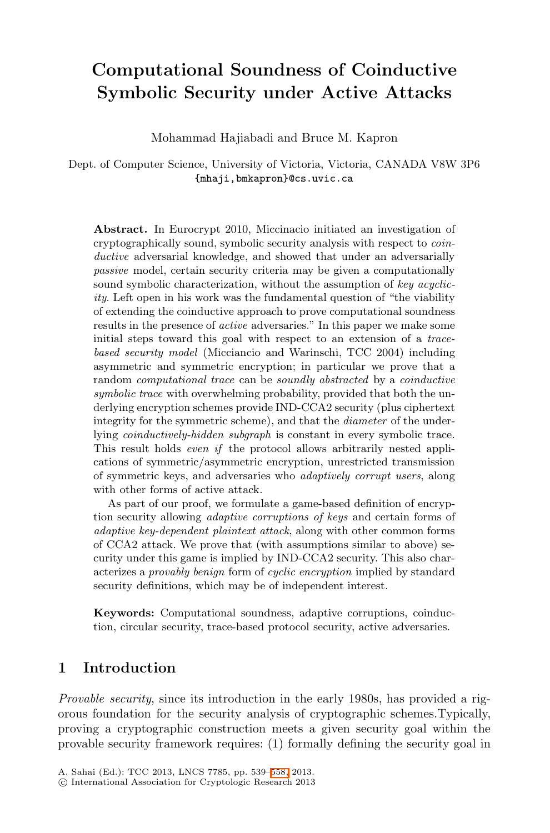# **Computational Soundness of Coinductive Symbolic Security under Active Attacks**

Mohammad Hajiabadi and Bruce M. Kapron

Dept. of Computer Science, University of Victoria, Victoria, CANADA V8W 3P6 {mhaji,bmkapron}@cs.uvic.ca

**Abstract.** In Eurocrypt 2010, Miccinacio initiated an investigation of cryptographically sound, symbolic security analysis with respect to *coinductive* adversarial knowledge, and showed that under an adversarially *passive* model, certain security criteria may be given a computationally sound symbolic characterization, without the assumption of *key acyclicity*. Left open in his work was the fundamental question of "the viability of extending the coinductive approach to prove computational soundness results in the presence of *active* adversaries." In this paper we make some initial steps toward this goal with respect to an extension of a *tracebased security model* (Micciancio and Warinschi, TCC 2004) including asymmetric and symmetric encryption; in particular we prove that a random *computational trace* can be *soundly abstracted* by a *coinductive symbolic trace* with overwhelming probability, provided that both the underlying encryption schemes provide IND-CCA2 security (plus ciphertext integrity for the symmetric scheme), and that the *diameter* of the underlying *coinductively-hidden subgraph* is constant in every symbolic trace. This result holds *even if* the protocol allows arbitrarily nested applications of symmetric/asymmetric encryption, unrestricted transmission of symmetric keys, and adversaries who *adaptively corrupt users*, along with other forms of active attack.

As part of our proof, we formulate a game-based definition of encryption security allowing *adaptive corruptions of keys* and certain forms of *adaptive key-dependent plaintext attack*, along with other common forms of CCA2 attack. We prove that (with assumptions similar to above) security under this game is implied by IND-CCA2 security. This also characterizes a *provably benign* form of *cyclic encryption* implied by standard security definitions, which may be of independent interest.

**Keywords:** Computational soundness, adaptive corruptions, coinduction, circular security, trace-based protocol security, active adversaries.

### **1 Introductio[n](#page-19-0)**

*Provable security*, since its introduction in the early 1980s, has provided a rigorous foundation for the security analysis of cryptographic schemes.Typically, proving a cryptographic construction meets a given security goal within the provable security framework requires: (1) formally defining the security goal in

A. Sahai (Ed.): TCC 2013, LNCS 7785, pp. 539–558, 2013.

<sup>-</sup>c International Association for Cryptologic Research 2013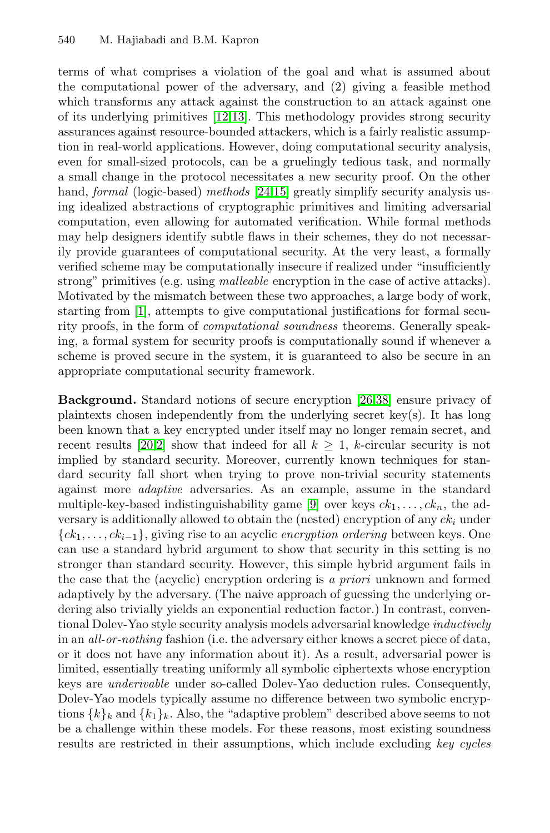terms of what co[mp](#page-18-0)[rise](#page-18-1)s a violation of the goal and what is assumed about the computational power of the adversary, and (2) giving a feasible method which transforms any attack against the construction to an attack against one of its underlying primitives [12,13]. This methodology provides strong security assurances against resource-bounded attackers, which is a fairly realistic assumption in real-world applications. However, doing computational security analysis, even for small-sized protocols, can be a gruelingly tedious task, and normally a small change in the protocol necessitates a new security proof. On the other hand, *formal* (logic-based) *methods* [24,15] greatly simplify security analysis using idealized abstractions of cryptographic primitives and limiting adversarial computation, even allowing for automated verification. While formal methods may help designers identify subtle flaws in their schemes, they do not necessarily provide guarantees of computational security. At the very least, a formally verified scheme may be computationally insecure if realized under "insufficiently strong" primitives (e.g. using *malleab[le](#page-19-1)* [encr](#page-19-2)yption in the case of active attacks). Motivated by the mismatch between these two approaches, a large body of work, starting from [1], attempts to give computational justifications for formal secu[ri](#page-17-0)ty proofs, in the form of *computational soundness* theorems. Generally speaking, a formal system for security proofs is computationally sound if whenever a scheme is proved secure in the system, it is guaranteed to also be secure in an appropriate computational security framework.

**Background.** Standard no[tio](#page-18-2)ns of secure encryption [26,38] ensure privacy of plaintexts chosen independently from the underlying secret key(s). It has long been known that a key encrypted under itself may no longer remain secret, and recent results [20,2] show that indeed for all  $k \geq 1$ , k-circular security is not implied by standard security. Moreover, currently known techniques for standard security fall short when trying to prove non-trivial security statements against more *adaptive* adversaries. As an example, assume in the standard multiple-key-based indistinguishability game [9] over keys  $ck_1, \ldots, ck_n$ , the adversary is additionally allowed to obtain the (nested) encryption of any  $ck_i$  under {ck1, . . . , cki−<sup>1</sup>}, giving rise to an acyclic *encryption ordering* between keys. One can use a standard hybrid argument to show that security in this setting is no stronger than standard security. However, this simple hybrid argument fails in the case that the (acyclic) encryption ordering is *a priori* unknown and formed adaptively by the adversary. (The naive approach of guessing the underlying ordering also trivially yields an exponential reduction factor.) In contrast, conventional Dolev-Yao style security analysis models adversarial knowledge *inductively* in an *all-or-nothing* fashion (i.e. the adversary either knows a secret piece of data, or it does not have any information about it). As a result, adversarial power is limited, essentially treating uniformly all symbolic ciphertexts whose encryption keys are *underivable* under so-called Dolev-Yao deduction rules. Consequently, Dolev-Yao models typically assume no difference between two symbolic encryptions  $\{k\}_k$  and  $\{k_1\}_k$ . Also, the "adaptive problem" described above seems to not be a challenge within these models. For these reasons, most existing soundness results are restricted in their assumptions, which include excluding *key cycles*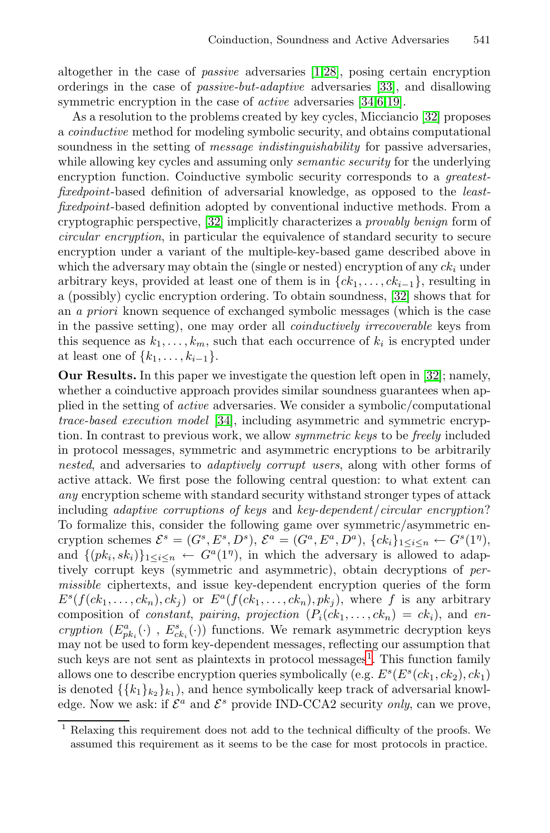altogether in the case of *passive* adversaries [1,28], posing certain encryption orderings in the case of *passive-but-adaptive* adversaries [33], and disallowing symmetr[ic e](#page-19-3)ncryption in the case of *active* adversaries [34,6,19].

As a resolution to the problems created by key cycles, Micciancio [32] proposes a *coinductive* method for modeling symbolic security, and obtains computational soundness in the setting of *message indistinguishability* for passive adversaries, while allowing key cycles and assuming only *semantic security* for the underlying encryption function. Coinductive symbolic [sec](#page-19-3)urity corresponds to a *greatestfixedpoint*-based definition of adversarial knowledge, as opposed to the *leastfixedpoint*-based definition adopted by conventional inductive methods. From a cryptographic perspective, [32] implicitly characterizes a *provably benign* form of *circular encryption*, in particular the equivalence of standard security to secure encryption under a variant of the multiple-key-based game described above in which the adversary may obtain the (single or nest[ed\)](#page-19-3) encryption of any  $ck_i$  under arbitrary keys, provided at least one of them is in  $\{ck_1, \ldots, ck_{i-1}\}\$ , resulting in a (possibly) cyclic encryption ordering. To obtain soundness, [32] shows that for an *a priori* [kn](#page-19-4)own sequence of exchanged symbolic messages (which is the case in the passive setting), one may order all *coinductively irrecoverable* keys from this sequence as  $k_1, \ldots, k_m$ , such that each occurrence of  $k_i$  is encrypted under at least one of  $\{k_1,\ldots,k_{i-1}\}.$ 

<span id="page-2-0"></span>**Our Results.** In this paper we investigate the question left open in [32]; namely, whether a coinductive approach provides similar soundness guarantees when applied in the setting of *active* adversaries. We consider a symbolic/computational *trace-based execution model* [34], including asymmetric and symmetric encryption. In contrast to previous work, we allow *symmetric keys* to be *freely* included in protocol messages, symmetric and asymmetric encryptions to be arbitrarily *nested*, and adversaries to *adaptively corrupt users*, along with other forms of active attack. We first pose the following central question: to what extent can *any* encryption scheme with standard security withstand stronger types of attack including *adaptive corruptions of keys* and *key-dependent*/*circular encryption*? To formalize this, consider the following game over symmetric/asymmetric encryption schemes  $\mathcal{E}^s = (G^s, E^s, D^s), \, \mathcal{E}^a = (G^a, E^a, D^a), \, \{ck_i\}_{1 \leq i \leq n} \leftarrow G^s(1^{\eta}),$  $\mathcal{E}^s = (G^s, E^s, D^s), \, \mathcal{E}^a = (G^a, E^a, D^a), \, \{ck_i\}_{1 \leq i \leq n} \leftarrow G^s(1^{\eta}),$  $\mathcal{E}^s = (G^s, E^s, D^s), \, \mathcal{E}^a = (G^a, E^a, D^a), \, \{ck_i\}_{1 \leq i \leq n} \leftarrow G^s(1^{\eta}),$ and  $\{(pk_i, sk_i)\}_{1 \leq i \leq n} \leftarrow G^a(1^{\eta})$ , in which the adversary is allowed to adaptively corrupt keys (symmetric and asymmetric), obtain decryptions of *permissible* ciphertexts, and issue key-dependent encryption queries of the form  $E^{s}(f(ck_1, \ldots, ck_n), ck_i)$  or  $E^{a}(f(ck_1, \ldots, ck_n), pk_i)$ , where f is any arbitrary composition of *constant*, *pairing*, *projection*  $(P_i(ck_1, \ldots, ck_n) = ck_i)$ , and *en* $cryption$   $(E_{pk_i}^{a}(\cdot)$  ,  $E_{ck_i}^{s}(\cdot))$  functions. We remark asymmetric decryption keys may not be used to form key-dependent messages, reflecting our assumption that such keys are not sent as plaintexts in protocol messages<sup>1</sup>. This function family allows one to describe encryption queries symbolically (e.g.  $E^s(E^s(ck_1, ck_2), ck_1)$ ) is denoted  $\{\{k_1\}_{k_2}\}_{k_1}$ , and hence symbolically keep track of adversarial knowledge. Now we ask: if  $\mathcal{E}^a$  and  $\mathcal{E}^s$  provide IND-CCA2 security *only*, can we prove,

<sup>1</sup> Relaxing this requirement does not add to the technical difficulty of the proofs. We assumed this requirement as it seems to be the case for most protocols in practice.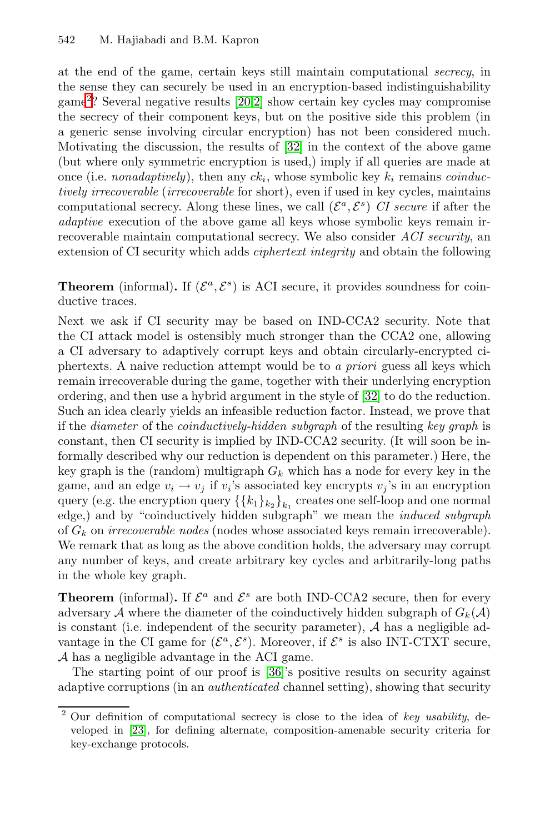at the end of the game, certain keys still maintain computational *secrecy*, in the sense they can securely be used in an encryption-based indistinguishability game<sup>2</sup>? Several negative results [20,2] show certain key cycles may compromise the secrecy of their component keys, but on the positive side this problem (in a generic sense involving circular encryption) has not been considered much. Motivating the discussion, the results of [32] in the context of the above game (but where only symmetric encryption is used,) imply if all queries are made at once (i.e. *nonadaptively*), then any  $ck_i$ , whose symbolic key  $k_i$  remains *coinductively irrecoverable* (*irrecoverable* for short), even if used in key cycles, maintains computational secrecy. Along these lines, we call  $(\mathcal{E}^a, \mathcal{E}^s)$  *CI secure* if after the *adaptive* execution of the above game all keys whose symbolic keys remain irrecoverable maintain computational secrecy. We also consider *ACI security*, an extension of CI security which adds *ciphertext integrity* and obtain the following

**Theorem** (informal). If  $(\mathcal{E}^a, \mathcal{E}^s)$  is A[CI](#page-19-3) secure, it provides soundness for coinductive traces.

Next we ask if CI security may be based on IND-CCA2 security. Note that the CI attack model is ostensibly much stronger than the CCA2 one, allowing a CI adversary to adaptively corrupt keys and obtain circularly-encrypted ciphertexts. A naive reduction attempt would be to *a priori* guess all keys which remain irrecoverable during the game, together with their underlying encryption ordering, and then use a hybrid argument in the style of [32] to do the reduction. Such an idea clearly yields an infeasible reduction factor. Instead, we prove that if the *diameter* of the *coinductively-hidden subgraph* of the resulting *key graph* is constant, then CI security is implied by IND-CCA2 security. (It will soon be informally described why our reduction is dependent on this parameter.) Here, the key graph is the (random) multigraph  $G_k$  which has a node for every key in the game, and an edge  $v_i \rightarrow v_j$  if  $v_i$ 's associated key encrypts  $v_j$ 's in an encryption query (e.g. the encryption query  $\{\{k_1\}_{k_2}\}_{k_1}$  creates one self-loop and one normal edge,) and by "coinductively hidden subgraph" we mean the *induced subgraph* of G<sup>k</sup> on *irrecoverable nodes* (nodes whose associated keys remain irrecoverable). We remark that as long as the above condition holds, the adversary may corrupt any number of keys, [an](#page-19-5)d create arbitrary key cycles and arbitrarily-long paths in the whole key graph.

**Theorem** (informal). If  $\mathcal{E}^a$  and  $\mathcal{E}^s$  are both IND-CCA2 secure, then for every adversary A where the diameter of the coinductively hidden subgraph of  $G_k(\mathcal{A})$ is constant (i.e. independent of the security parameter), A has a negligible advantage in the CI game for  $(\mathcal{E}^a, \mathcal{E}^s)$ . Moreover, if  $\mathcal{E}^s$  is also INT-CTXT secure, A has a negligible advantage in the ACI game.

The starting point of our proof is [36]'s positive results on security against adaptive corruptions (in an *authenticated* channel setting), showing that security

<sup>2</sup> Our definition of computational secrecy is close to the idea of *key usability*, developed in [23], for defining alternate, composition-amenable security criteria for key-exchange protocols.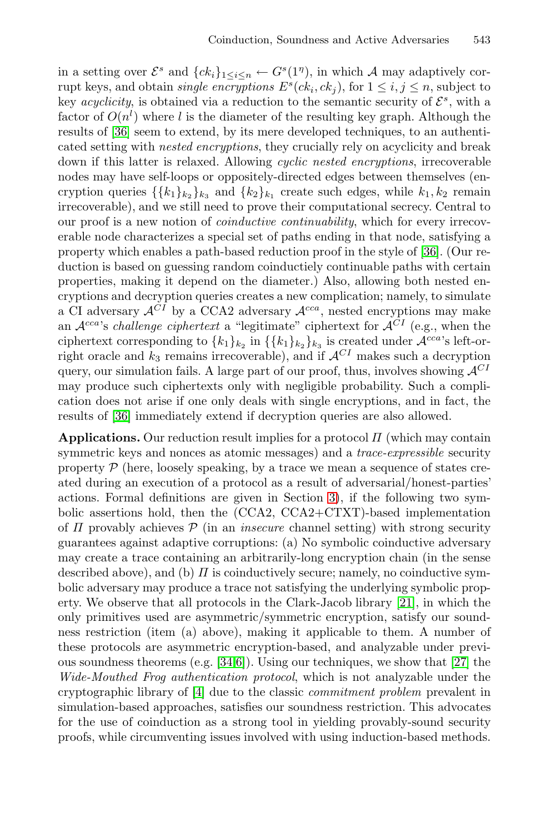in a setting over  $\mathcal{E}^s$  and  $\{ck_i\}_{1\leq i\leq n} \leftarrow G^s(1^{\eta})$ , in which A may adaptively corrupt keys, and obtain *single encryptions*  $E^s(ck_i, ck_j)$ , for  $1 \leq i, j \leq n$ , subject to key *acyclicity*, is obtained via a reduction to the semantic security of  $\mathcal{E}^s$ , with a factor of  $O(n^l)$  where l is the diameter of the resulting key graph. Although the results of [36] seem to extend, by its mere develo[ped](#page-19-5) techniques, to an authenticated setting with *nested encryptions*, they crucially rely on acyclicity and break down if this latter is relaxed. Allowing *cyclic nested encryptions*, irrecoverable nodes may have self-loops or oppositely-directed edges between themselves (encryption queries  $\{\{k_1\}_{k_2}\}_{k_3}$  and  $\{k_2\}_{k_1}$  create such edges, while  $k_1, k_2$  remain irrecoverable), and we still need to prove their computational secrecy. Central to our proof is a new notion of *coinductive continuability*, which for every irrecoverable node characterizes a special set of paths ending in that node, satisfying a property which enables a path-based reduction proof in the style of [36]. (Our reduction is based on guessing random coinductiely continuable paths with certain properties, making it depend on the diameter.) Also, allowing both nested encryptions and decryption queries creates a new complication; namely, to simulate a CI adversary  $\mathcal{A}^{CI}$  by a CCA2 adversary  $\mathcal{A}^{cca}$ , nested encryptions may make an  $\mathcal{A}^{cca}$ 's *challenge ciphertext* a "legitimate" ciphertext for  $\mathcal{A}^{CI}$  (e.g., when the ciphertext corresponding to  $\{k_1\}_{k_2}$  in  $\{\{k_1\}_{k_2}\}_{k_3}$  is created under  $\mathcal{A}^{cca}$ 's left-orright oracle and  $k_3$  remains irrecoverable), and if  $\mathcal{A}^{CI}$  makes such a decryption query, our simulation fails. A large part of our proof, thus, involves showing  $\mathcal{A}^{CI}$ may produce such ciphertexts [on](#page-8-0)ly with negligible probability. Such a complication does not arise if one only deals with single encryptions, and in fact, the results of [36] immediately extend if decryption queries are also allowed.

**Applications.** Our reduction result implies for a protocol  $\Pi$  (which may contain symmetric keys and nonces as atomic messages) and a *trace-expressible* security property  $\mathcal P$  (here, loosely speaking, by a trace we mean a sequence of states created during an execution of a protocol as a [resu](#page-18-3)lt of adversarial/honest-parties' actions. Formal definitions are given in Section 3), if the following two symbolic assertions hold, then the (CCA2, CCA2+CTXT)-based implementation of  $\Pi$  provably achieves  $P$  (in an *insecure* channel setting) with strong security guarantees [aga](#page-19-4)[in](#page-17-1)st adaptive corruptions: (a) No symb[olic](#page-19-6) coinductive adversary may create a trace containing an arbitrarily-long encryption chain (in the sense describ[ed](#page-17-2) above), and (b)  $\Pi$  is coinductively secure; namely, no coinductive symbolic adversary may produce a trace not satisfying the underlying symbolic property. We observe that all protocols in the Clark-Jacob library [21], in which the only primitives used are asymmetric/symmetric encryption, satisfy our soundness restriction (item (a) above), making it applicable to them. A number of these protocols are asymmetric encryption-based, and analyzable under previous soundness theorems (e.g. [34,6]). Using our techniques, we show that [27] the *Wide-Mouthed Frog authentication protocol*, which is not analyzable under the cryptographic library of [4] due to the classic *commitment problem* prevalent in simulation-based approaches, satisfies our soundness restriction. This advocates for the use of coinduction as a strong tool in yielding provably-sound security proofs, while circumventing issues involved with using induction-based methods.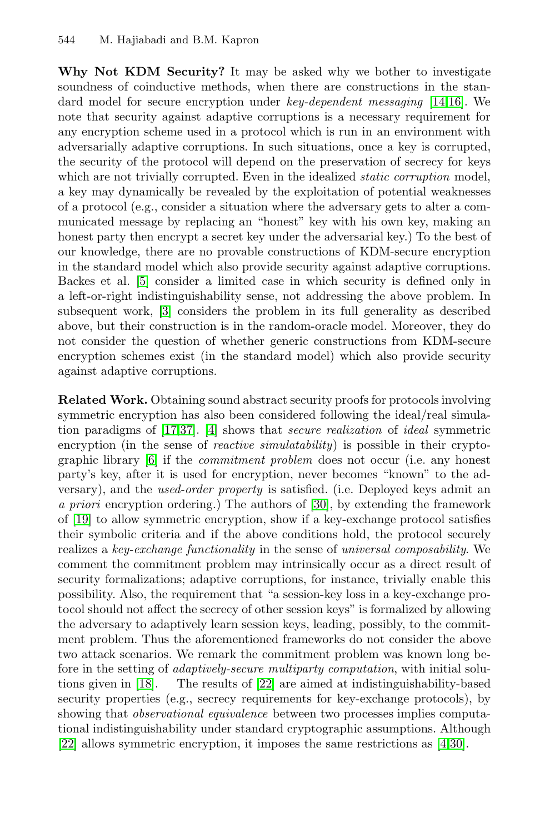**Why Not KDM Security?** It may be asked why we bother to investigate soundness of coinductive methods, when there are constructions in the standard model for secure encryption under *key-dependent messaging* [14,16]. We note that security against adaptive corruptions is a necessary requirement for any encryption scheme used in a protocol which is run in an environment with adversarially adaptive corruptions. In such situations, once a key is corrupted, the security of the protocol will depend on the preservation of secrecy for keys which are not trivially corrupted. Even in the idealized *static corruption* model, [a k](#page-17-3)ey may dynamically be revealed by the exploitation of potential weaknesses of a protocol (e.g., consider a situation where the adversary gets to alter a communicated message by replacing an "honest" key with his own key, making an honest party then encrypt a secret key under the adversarial key.) To the best of our knowledge, there are no provable constructions of KDM-secure encryption in the standard model which also provide security against adaptive corruptions. Backes et al. [5] consider a limited case in which security is defined only in a left-or-right indistinguishability sense, not addressing the above problem. In s[ubs](#page-18-4)[equ](#page-19-7)e[nt](#page-17-2) work, [3] considers the problem in its full generality as described above, but their construction is in the random-oracle model. Moreover, they do [n](#page-17-1)ot consider the question of whether generic constructions from KDM-secure encryption schemes exist (in the standard model) which also provide security against adaptive corruptions.

**Related Work.** Obtaining s[oun](#page-19-8)d abstract security proofs for protocols involving symmetric encryption has also been considered following the ideal/real simulation paradigms of [17,37]. [4] shows that *secure realization* of *ideal* symmetric encryption (in the sense of *reactive simulatability*) is possible in their cryptographic library [6] if the *commitment problem* does not occur (i.e. any honest party's key, after it is used for encryption, never becomes "known" to the adversary), and the *used-order property* is satisfied. (i.e. Deployed keys admit an *a priori* encryption ordering.) The authors of [30], by extending the framework of [19] to allow symmetric encryption, show if a key-exchange protocol satisfies their symbolic criteria and if the above conditions hold, the protocol securely realizes a *key-exchange functionality* in the sense of *universal composability*. We comment the com[mitm](#page-18-5)ent problem may intrinsically occur as a direct result of security formalizations; adaptive corruptions, for instance, trivially enable this possibility. Also, the requirement that "a session-key loss in a key-exchange protocol should not affect the secrecy of other session keys" is formalized by allowing the adversary to adaptively learn session keys, leadi[ng](#page-17-2)[, po](#page-19-8)ssibly, to the commitment problem. Thus the aforementioned frameworks do not consider the above two attack scenarios. We remark the commitment problem was known long before in the setting of *adaptively-secure multiparty computation*, with initial solutions given in [18]. The results of [22] are aimed at indistinguishability-based security properties (e.g., secrecy requirements for key-exchange protocols), by showing that *observational equivalence* between two processes implies computational indistinguishability under standard cryptographic assumptions. Although [22] allows symmetric encryption, it imposes the same restrictions as [4,30].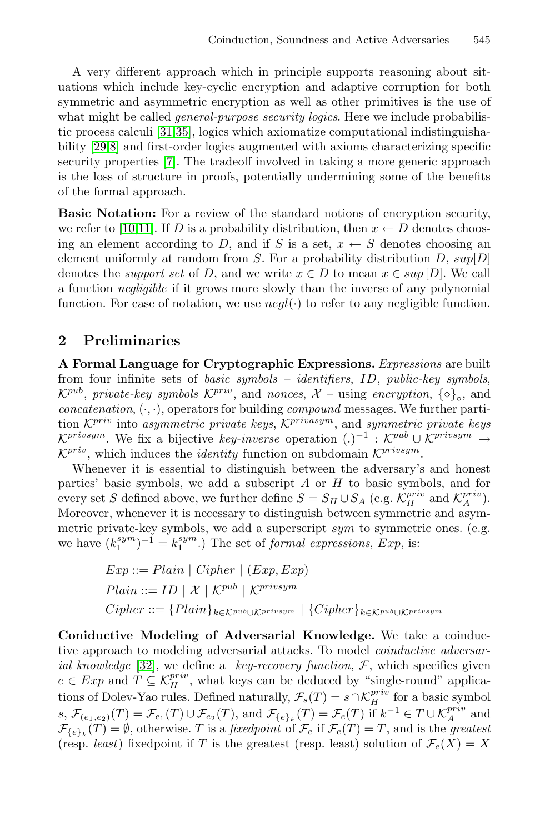A very different approach which in principle supports reasoning about situations which include key-cyclic encryption and adaptive corruption for both symmetric and asymmetric encryption as well as other primitives is the use of what might be called *general-purpose security logics*. Here we include probabilistic process calculi [31,35], logics which axiomatize computational indistinguishability [29,8] and first-order logics augmented with axioms characterizing specific security properties [7]. The tradeoff involved in taking a more generic approach is the loss of structure in proofs, potentially undermining some of the benefits of the formal approach.

**Basic Notation:** For a review of the standard notions of encryption security, we refer to [10,11]. If D is a probability distribution, then  $x \leftarrow D$  denotes choosing an element according to D, and if S is a set,  $x \leftarrow S$  denotes choosing an element uniformly at random from S. For a probability distribution  $D$ ,  $sup[D]$ denotes the *support set* of D, and we write  $x \in D$  to mean  $x \in \text{sup}[D]$ . We call a function *negligible* if it grows more slowly than the inverse of any polynomial function. For ease of notation, we use  $negl(\cdot)$  to refer to any negligible function.

### **2 Preliminaries**

**A Formal Language for Cryptographic Expressions.** *Expressions* are built from four infinite sets of *basic symbols* – *identifiers*, ID, *public-key symbols*,  $\mathcal{K}^{pub}$ , *private-key symbols*  $\mathcal{K}^{priv}$ , and *nonces*,  $\mathcal{X}$  – using *encryption*,  $\{\diamond\}_\circ$ , and *concatenation*,  $(\cdot, \cdot)$ , operators for building *compound* messages. We further partition Kpriv into *asymmetric private keys*, Kprivasym, and *symmetric private keys*  $\mathcal{K}^{privsym}$ . We fix a bijective *key-inverse* operation (.)<sup>-1</sup> :  $\mathcal{K}^{pub} \cup \mathcal{K}^{privsym}$  →  $\mathcal{K}^{priv}$ , which induces the *identity* function on subdomain  $\mathcal{K}^{privsym}$ .

Whenever it is essential to distinguish between the adversary's and honest parties' basic symbols, we add a subscript  $A$  or  $H$  to basic symbols, and for every set S defined above, we further define  $S = S_H \cup S_A$  (e.g.  $\mathcal{K}_H^{priv}$  and  $\mathcal{K}_A^{priv}$ ). Moreover, whenever it is necessary to distinguish between symmetric and asymmetric private-key symbols, we add a superscript sym to symmetric ones. (e.g. we have  $(k_1^{sym})^{-1} = k_1^{sym}$ .) The set of *formal expressions*, Exp, is:

$$
Exp ::= Plain \mid Cipher \mid (Exp, Exp)
$$
  
Plain ::= ID \mid X \mid K^{pub} \mid K^{privsym}  
Cipher ::= {Plain}\_{k \in K^{pub} \cup K^{privsym}} \mid {Cipher}\_{k \in K^{pub} \cup K^{privsym}}

**Coniductive Modeling of Adversarial Knowledge.** We take a coinductive approach to modeling adversarial attacks. To model *coinductive adversarial knowledge* [32], we define a *key-recovery function*,  $F$ , which specifies given  $e \in Exp$  and  $\hat{T} \subseteq \mathcal{K}_H^{priv}$ , what keys can be deduced by "single-round" applications of Dolev-Yao rules. Defined naturally,  $\mathcal{F}_s(T) = s \cap \mathcal{K}_H^{priv}$  for a basic symbol  $s, \mathcal{F}_{(e_1,e_2)}(T) = \mathcal{F}_{e_1}(T) \cup \mathcal{F}_{e_2}(T)$ , and  $\mathcal{F}_{\{e\}_k}(T) = \mathcal{F}_e(T)$  if  $k^{-1} \in T \cup \mathcal{K}_A^{priv}$  and  $\mathcal{F}_{\{e\}_k}(T) = \emptyset$ , otherwise. T is a *fixedpoint* of  $\mathcal{F}_e$  if  $\mathcal{F}_e(T) = T$ , and is the *greatest* (resp. *least*) fixedpoint if T is the greatest (resp. least) solution of  $\mathcal{F}_e(X) = X$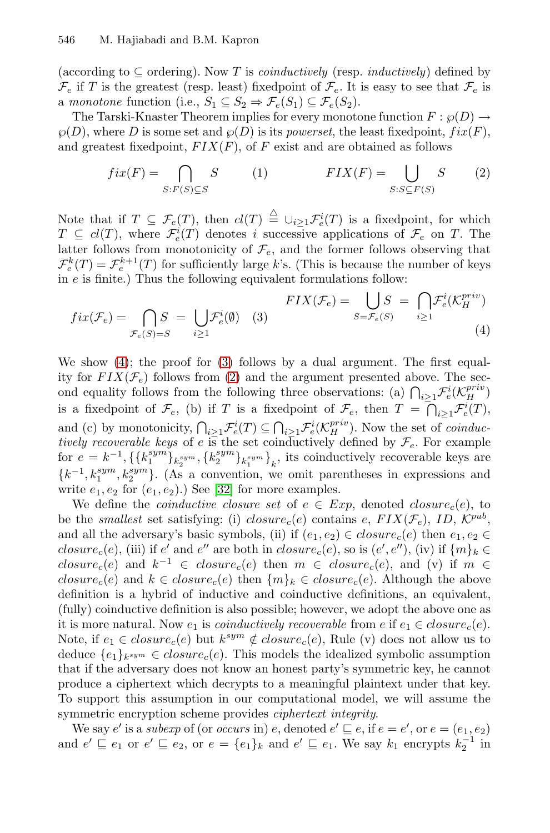<span id="page-7-1"></span><span id="page-7-0"></span>(according to  $\subseteq$  ordering). Now T is *coinductively* (resp. *inductively*) defined by  $\mathcal{F}_e$  if T is the greatest (resp. least) fixedpoint of  $\mathcal{F}_e$ . It is easy to see that  $\mathcal{F}_e$  is a *monotone* function (i.e.,  $S_1 \subseteq S_2 \Rightarrow \mathcal{F}_e(S_1) \subseteq \mathcal{F}_e(S_2)$ .

The Tarski-Knaster Theorem implies for every monotone function  $F : \varphi(D) \to$  $\wp(D)$ , where D is some set and  $\wp(D)$  is its *powerset*, the least fixedpoint,  $fix(F)$ , and greatest fixedpoint,  $FIN(F)$ , of F exist and are obtained as follows

$$
fix(F) = \bigcap_{S:F(S) \subseteq S} S \qquad (1) \qquad FIX(F) = \bigcup_{S:S \subseteq F(S)} S \qquad (2)
$$

Note that if  $T \subseteq \mathcal{F}_e(T)$ , then  $cl(T) \triangleq \bigcup_{i \geq 1} \mathcal{F}_e^{i}(T)$  is a fixedpoint, for which  $T \subseteq cl(T)$ , where  $\mathcal{F}_e^i(T)$  denotes i successive applications of  $\mathcal{F}_e$  on T. The latter follo[ws](#page-7-0) from monotonicity of  $\mathcal{F}_e$ , and the former follows observing that  $\mathcal{F}_e^k(T) = \mathcal{F}_e^{k+1}(T)$  $\mathcal{F}_e^k(T) = \mathcal{F}_e^{k+1}(T)$  $\mathcal{F}_e^k(T) = \mathcal{F}_e^{k+1}(T)$  for sufficiently large k's. (This is because the number of keys in  $e$  is finite.) Thus the following equivalent formulations follow:

$$
fix(\mathcal{F}_e) = \bigcap_{\mathcal{F}_e(S) = S} S = \bigcup_{i \ge 1} \mathcal{F}_e^i(\emptyset) \quad (3)
$$
\n
$$
FIN(\mathcal{F}_e) = \bigcup_{S = \mathcal{F}_e(S)} S = \bigcap_{i \ge 1} \mathcal{F}_e^i(\mathcal{K}_H^{priv})
$$
\n
$$
(4)
$$

We show  $(4)$ ; the proof for  $(3)$  follows by a dual argument. The first equality for  $FIX(\mathcal{F}_e)$  $FIX(\mathcal{F}_e)$  $FIX(\mathcal{F}_e)$  follows from (2) and the argument presented above. The second equality follows from the following three observations: (a)  $\bigcap_{i\geq 1} \mathcal{F}_e^i(\mathcal{K}_H^{priv})$ is a fixedpoint of  $\mathcal{F}_e$ , (b) if T is a fixedpoint of  $\mathcal{F}_e$ , then  $T = \bigcap_{i \geq 1} \mathcal{F}_e^i(T)$ , and (c) by monotonicity,  $\bigcap_{i\geq 1} \mathcal{F}_e^i(T) \subseteq \bigcap_{i\geq 1} \mathcal{F}_e^i(\mathcal{K}_H^{priv})$ . Now the set of *coinductively recoverable keys* of e is the set coinductively defined by  $\mathcal{F}_e$ . For example for  $e = k^{-1}$ ,  $\{\{k_1^{sym}\}_{k_2^{sym}}, \{k_2^{sym}\}_{k_1^{sym}}\}_{k}$ , its coinductively recoverable keys are  ${k<sup>-1</sup>, k<sub>1</sub><sup>sym</sup>, k<sub>2</sub><sup>sym</sup>}.$  (As a convention, we omit parentheses in expressions and write  $e_1, e_2$  for  $(e_1, e_2)$ .) See [32] for more examples.

We define the *coinductive closure set* of  $e \in Exp$ , denoted *closure<sub>c</sub>*(*e*), to be the *smallest* set satisfying: (i) closure<sub>c</sub>(e) contains e,  $FIX(\mathcal{F}_e)$ , ID,  $\mathcal{K}^{pub}$ , and all the adversary's basic symbols, (ii) if  $(e_1, e_2) \in closure_c(e)$  then  $e_1, e_2 \in$ closure<sub>c</sub>(e), (iii) if e' and e'' are both in closure<sub>c</sub>(e), so is (e', e''), (iv) if  $\{m\}_k \in$ closure<sub>c</sub>(e) and  $k^{-1} \in closure_c(e)$  then  $m \in closure_c(e)$ , and (v) if  $m \in$ closure<sub>c</sub>(e) and  $k \in closure_c(e)$  then  $\{m\}_k \in closure_c(e)$ . Although the above definition is a hybrid of inductive and coinductive definitions, an equivalent, (fully) coinductive definition is also possible; however, we adopt the above one as it is more natural. Now  $e_1$  is *coinductively recoverable* from e if  $e_1 \in closure_c(e)$ . Note, if  $e_1 \in closure_c(e)$  but  $k^{sym} \notin closure_c(e)$ , Rule (v) does not allow us to deduce  ${e_1}_{k \text{sym}} \in closure_c(e)$ . This models the idealized symbolic assumption that if the adversary does not know an honest party's symmetric key, he cannot produce a ciphertext which decrypts to a meaningful plaintext under that key. To support this assumption in our computational model, we will assume the symmetric encryption scheme provides *ciphertext integrity*.

We say e' is a *subexp* of (or *occurs* in) e, denoted  $e' \sqsubseteq e$ , if  $e = e'$ , or  $e = (e_1, e_2)$ and  $e' \sqsubseteq e_1$  or  $e' \sqsubseteq e_2$ , or  $e = \{e_1\}_k$  and  $e' \sqsubseteq e_1$ . We say  $k_1$  encrypts  $k_2^{-1}$  in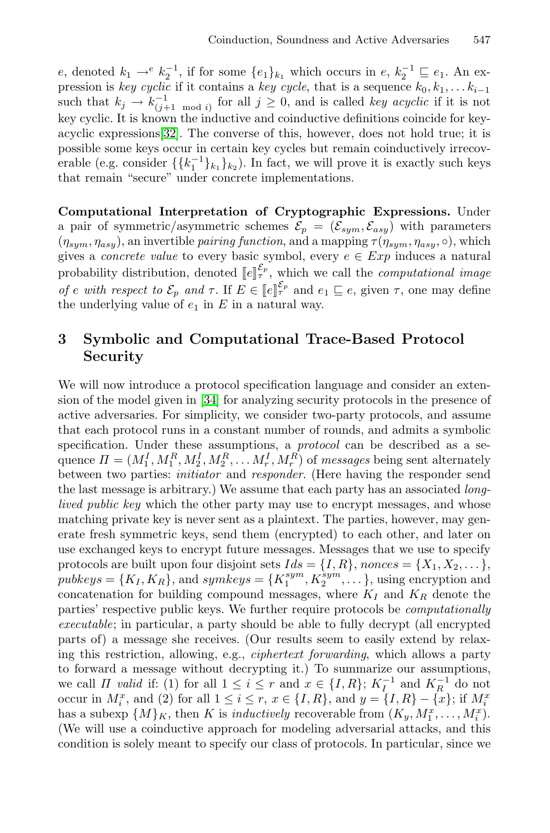<span id="page-8-0"></span>e, denoted  $k_1 \rightarrow^e k_2^{-1}$ , if for some  $\{e_1\}_{k_1}$  which occurs in  $e, k_2^{-1} \sqsubseteq e_1$ . An expression is *key cyclic* if it contains a *key cycle*, that is a sequence  $k_0, k_1, \ldots k_{i-1}$ such that  $k_j \to k_{(j+1 \mod i)}^{-1}$  for all  $j \geq 0$ , and is called *key acyclic* if it is not key cyclic. It is known the inductive and coinductive definitions coincide for keyacyclic expressions[32]. The converse of this, however, does not hold true; it is possible some keys occur in certain key cycles but remain coinductively irrecoverable (e.g. consider  $\{\{k_1^{-1}\}_{k_1}\}_{k_2}$ ). In fact, we will prove it is exactly such keys that remain "secure" under concrete implementations.

**Computational Interpretation of Cryptographic Expressions.** Under a pair of symmetric/asymmetric schemes  $\mathcal{E}_p = (\mathcal{E}_{sym}, \mathcal{E}_{asy})$  with parameters  $(\eta_{sym}, \eta_{asy})$ , an invertible *pairing function*, and a mapping  $\tau(\eta_{sym}, \eta_{asy}, \circ)$ , which gives a *concrete value* to every basic symbol, every  $e \in Exp$  induces a natural probability distribution, denoted  $\llbracket e \rrbracket_{\tau}^{\mathcal{E}_p}$ , which we call the *computational image of e wit[h](#page-19-4) [re](#page-19-4)spect to*  $\mathcal{E}_p$  *and*  $\tau$ . If  $E \in [e]_r^{\mathcal{E}_p}$  and  $e_1 \subseteq e$ , given  $\tau$ , one may define the underlying value of  $e_1$  in E in a natural way.

## **3 Symbolic and Computational Trace-Based Protocol Security**

We will now introduce a protocol specification language and consider an extension of the model given in [34] for analyzing security protocols in the presence of active adversaries. For simplicity, we consider two-party protocols, and assume that each protocol runs in a constant number of rounds, and admits a symbolic specification. Under these assumptions, a *protocol* can be described as a sequence  $\Pi = (M_1^I, M_1^R, M_2^I, M_2^R, \dots, M_r^I, M_r^R)$  of *messages* being sent alternately between two parties: *initiator* and *responder*. (Here having the responder send the last message is arbitrary.) We assume that each party has an associated *longlived public key* which the other party may use to encrypt messages, and whose matching private key is never sent as a plaintext. The parties, however, may generate fresh symmetric keys, send them (encrypted) to each other, and later on use exchanged keys to encrypt future messages. Messages that we use to specify protocols are built upon four disjoint sets  $Its = \{I, R\}$ , nonces =  $\{X_1, X_2, \dots\}$ ,  $pubkeys = \{K_I, K_R\}$ , and  $symkeys = \{K_1^{sym}, K_2^{sym}, \ldots\}$ , using encryption and concatenation for building compound messages, where  $K_I$  and  $K_R$  denote the parties' respective public keys. We further require protocols be *computationally executable*; in particular, a party should be able to fully decrypt (all encrypted parts of) a message she receives. (Our results seem to easily extend by relaxing this restriction, allowing, e.g., *ciphertext forwarding*, which allows a party to forward a message without decrypting it.) To summarize our assumptions, we call  $\Pi$  *valid* if: (1) for all  $1 \leq i \leq r$  and  $x \in \{I, R\}$ ;  $K_I^{-1}$  and  $K_R^{-1}$  do not occur in  $M_i^x$ , and (2) for all  $1 \le i \le r$ ,  $x \in \{I, R\}$ , and  $y = \{I, R\} - \{x\}$ ; if  $M_i^x$ has a subexp  $\{M\}_K$ , then K is *inductively* recoverable from  $(K_y, M_1^x, \ldots, M_i^x)$ . (We will use a coinductive approach for modeling adversarial attacks, and this condition is solely meant to specify our class of protocols. In particular, since we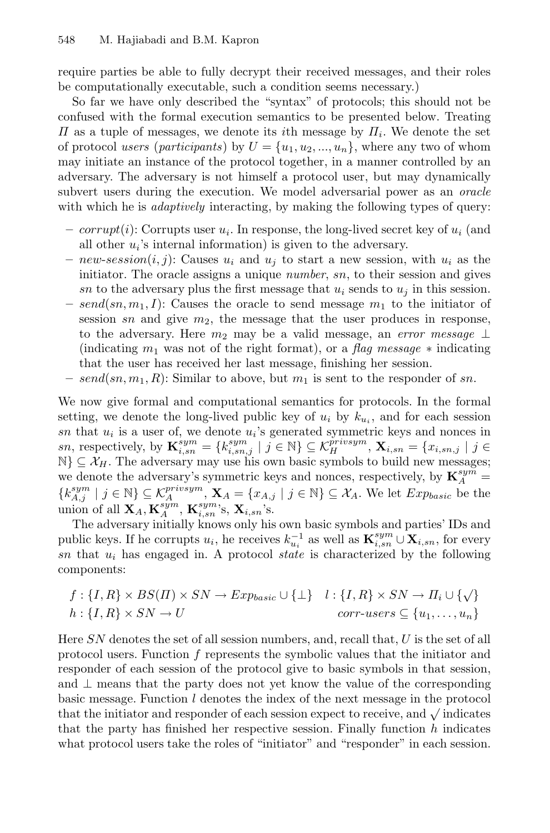require parties be able to fully decrypt their received messages, and their roles be computationally executable, such a condition seems necessary.)

So far we have only described the "syntax" of protocols; this should not be confused with the formal execution semantics to be presented below. Treating  $\Pi$  as a tuple of messages, we denote its ith message by  $\Pi_i$ . We denote the set of protocol *users* (*participants*) by  $U = \{u_1, u_2, ..., u_n\}$ , where any two of whom may initiate an instance of the protocol together, in a manner controlled by an adversary. The adversary is not himself a protocol user, but may dynamically subvert users during the execution. We model adversarial power as an *oracle* with which he is *adaptively* interacting, by making the following types of query:

- corrupt(i): Corrupts user  $u_i$ . In response, the long-lived secret key of  $u_i$  (and all other  $u_i$ 's internal information) is given to the adversary.
- $new-session(i, j)$ : Causes  $u_i$  and  $u_j$  to start a new session, with  $u_i$  as the initiator. The oracle assigns a unique *number*, sn, to their session and gives sn to the adversary plus the first message that  $u_i$  sends to  $u_j$  in this session.
- $-$  send(sn,  $m_1$ , I): Causes the oracle to send message  $m_1$  to the initiator of session sn and give  $m_2$ , the message that the user produces in response, to the adversary. Here m<sup>2</sup> may be a valid message, an *error message* ⊥ (indicating  $m_1$  was not of the right format), or a *flag message*  $*$  indicating that the user has received her last message, finishing her session.
- $-$  send(sn, m<sub>1</sub>, R): Similar to above, but  $m_1$  is sent to the responder of sn.

We now give formal and computational semantics for protocols. In the formal setting, we denote the long-lived public key of  $u_i$  by  $k_{u_i}$ , and for each session sn that  $u_i$  is a user of, we denote  $u_i$ 's generated symmetric keys and nonces in sn, respectively, by  $\mathbf{K}_{i,sn}^{sym} = \{k_{i,sn,j}^{sym} \mid j \in \mathbb{N}\} \subseteq \mathcal{K}_H^{privsym}, \mathbf{X}_{i,sn} = \{x_{i,sn,j} \mid j \in \mathbb{N}\}$  $\mathbb{N}\}\subseteq \mathcal{X}_H$ . The adversary may use his own basic symbols to build new messages; we denote the adversary's symmetric keys and nonces, respectively, by  $\mathbf{K}_A^{sym} =$  ${k_{A,j}^{sym} \mid j \in \mathbb{N}} \subseteq \mathcal{K}_A^{privsym}, \mathbf{X}_A = \{x_{A,j} \mid j \in \mathbb{N}\} \subseteq \mathcal{X}_A$ . We let  $Exp_{basic}$  be the union of all  $\mathbf{X}_A, \mathbf{K}_A^{sym}, \mathbf{K}_{i,sn}^{sym}$ 's,  $\mathbf{X}_{i,sn}$ 's.

The adversary initially knows only his own basic symbols and parties' IDs and public keys. If he corrupts  $u_i$ , he receives  $k_{u_i}^{-1}$  as well as  $\mathbf{K}_{i,sn}^{sym} \cup \mathbf{X}_{i,sn}$ , for every  $sn$  that  $u_i$  has engaged in. A protocol *state* is characterized by the following components:

$$
f: \{I, R\} \times BS(\Pi) \times SN \to Exp_{basic} \cup \{\bot\} \quad l: \{I, R\} \times SN \to \Pi_i \cup \{\sqrt{\}}
$$
  

$$
h: \{I, R\} \times SN \to U \qquad corr-users \subseteq \{u_1, \ldots, u_n\}
$$

Here SN denotes the set of all session numbers, and, recall that, U is the set of all protocol users. Function f represents the symbolic values that the initiator and responder of each session of the protocol give to basic symbols in that session, and ⊥ means that the party does not yet know the value of the corresponding basic message. Function  $l$  denotes the index of the next message in the protocol that the initiator and responder of each session expect to receive, and  $\sqrt{\ }$  indicates that the party has finished her respective session. Finally function  $h$  indicates what protocol users take the roles of "initiator" and "responder" in each session.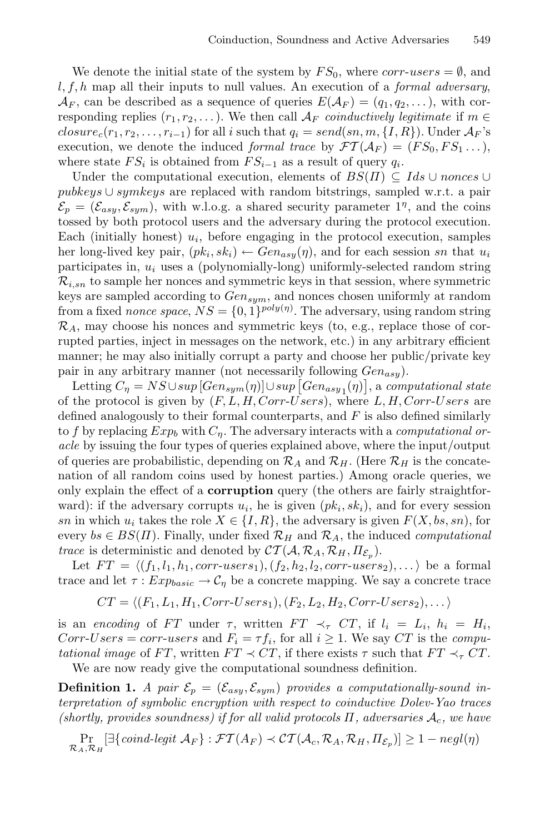We denote the initial state of the system by  $FS_0$ , where  $corr$ -users =  $\emptyset$ , and l, f, h map all their inputs to null values. An execution of a *formal adversary*,  $\mathcal{A}_F$ , can be described as a sequence of queries  $E(\mathcal{A}_F)=(q_1, q_2,...)$ , with corresponding replies  $(r_1, r_2,...)$ . We then call  $\mathcal{A}_F$  *coinductively legitimate* if  $m \in$ closure<sub>c</sub>(r<sub>1</sub>, r<sub>2</sub>,...,r<sub>i−1</sub>) for all i such that  $q_i = send(sn, m, {I, R})$ . Under  $A_F$ 's execution, we denote the induced *formal trace* by  $\mathcal{FT}(\mathcal{A}_F)=(FS_0, FS_1 \dots)$ , where state  $FS_i$  is obtained from  $FS_{i-1}$  as a result of query  $q_i$ .

Under the computational execution, elements of  $BS(\Pi) \subseteq \text{Ids} \cup \text{nonces} \cup$ pubkeys ∪ symkeys are replaced with random bitstrings, sampled w.r.t. a pair  $\mathcal{E}_p = (\mathcal{E}_{asy}, \mathcal{E}_{sym})$ , with w.l.o.g. a shared security parameter  $1^{\eta}$ , and the coins tossed by both protocol users and the adversary during the protocol execution. Each (initially honest)  $u_i$ , before engaging in the protocol execution, samples her long-lived key pair,  $(pk_i, sk_i) \leftarrow Gen_{asy}(\eta)$ , and for each session sn that  $u_i$ participates in,  $u_i$  uses a (polynomially-long) uniformly-selected random string  $\mathcal{R}_{i,sn}$  to sample her nonces and symmetric keys in that session, where symmetric keys are sampled according to  $Gen_{sum}$ , and nonces chosen uniformly at random from a fixed *nonce space*,  $NS = \{0, 1\}^{poly(\eta)}$ . The adversary, using random string  $\mathcal{R}_A$ , may choose his nonces and symmetric keys (to, e.g., replace those of corrupted parties, inject in messages on the network, etc.) in any arbitrary efficient manner; he may also initially corrupt a party and choose her public/private key pair in any arbitrary manner (not necessarily following  $Gen_{asy}$ ).

Letting  $C_{\eta} = NS \cup \sup \left[ Gen_{sym}(\eta) \right] \cup \sup \left[ Gen_{asy_1}(\eta) \right]$ , a *computational state* of the protocol is given by  $(F, L, H, Corr-Users)$ , where  $L, H, Corr-Users$  are defined analogously to their formal counterparts, and  $F$  is also defined similarly to f by replacing  $Exp_b$  with  $C_n$ . The adversary interacts with a *computational oracle* by issuing the four types of queries explained above, where the input/output of queries are probabilistic, depending on  $\mathcal{R}_A$  and  $\mathcal{R}_H$ . (Here  $\mathcal{R}_H$  is the concatenation of all random coins used by honest parties.) Among oracle queries, we only explain the effect of a **corruption** query (the others are fairly straightforward): if the adversary corrupts  $u_i$ , he is given  $(pk_i, sk_i)$ , and for every session sn in which  $u_i$  takes the role  $X \in \{I, R\}$ , the adversary is given  $F(X, bs, sn)$ , for every  $bs \in BS(\Pi)$ . Finally, under fixed  $\mathcal{R}_H$  and  $\mathcal{R}_A$ , the induced *computational trace* is deterministic and denoted by  $\mathcal{CT}(\mathcal{A}, \mathcal{R}_A, \mathcal{R}_H, \Pi_{\mathcal{E}_p})$ .

Let  $FT = \langle (f_1, l_1, h_1, corr\text{-}users_1), (f_2, h_2, l_2, corr\text{-}users_2), \dots \rangle$  be a formal trace and let  $\tau: Exp_{basic} \to C_{\eta}$  be a concrete mapping. We say a concrete trace

$$
CT = \langle (F_1, L_1, H_1, Corr-Users_1), (F_2, L_2, H_2, Corr-Users_2), \dots \rangle
$$

is an *encoding* of FT under  $\tau$ , written FT  $\prec_{\tau} CT$ , if  $l_i = L_i$ ,  $h_i = H_i$ , Corr-Users = corr-users and  $F_i = \tau f_i$ , for all  $i \geq 1$ . We say CT is the *computational image* of FT, written  $FT \prec CT$ , if there exists  $\tau$  such that  $FT \prec_{\tau} CT$ . We are now ready give the computational soundness definition.

**Definition 1.** *A pair*  $\mathcal{E}_p = (\mathcal{E}_{asy}, \mathcal{E}_{sym})$  provides a computationally-sound in*terpretation of symbolic encryption with respect to coinductive Dolev-Yao traces (shortly, provides soundness) if for all valid protocols*  $\Pi$ *, adversaries*  $A_c$ *, we have* 

$$
\Pr_{\mathcal{R}_A, \mathcal{R}_H}[\exists \{\text{coind-legit } \mathcal{A}_F\} : \mathcal{FT}(A_F) \prec \mathcal{CT}(\mathcal{A}_c, \mathcal{R}_A, \mathcal{R}_H, \Pi_{\mathcal{E}_p})] \ge 1 - negl(\eta)
$$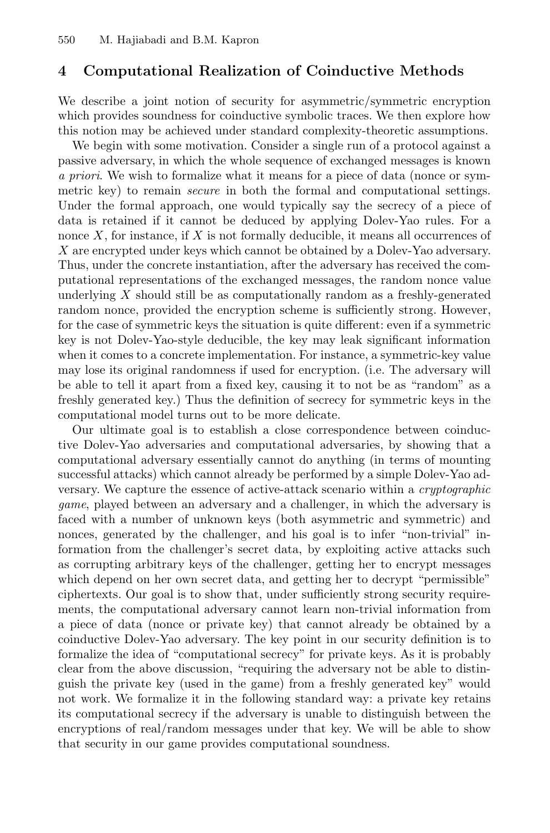### **4 Computational Realization of Coinductive Methods**

We describe a joint notion of security for asymmetric/symmetric encryption which provides soundness for coinductive symbolic traces. We then explore how this notion may be achieved under standard complexity-theoretic assumptions.

We begin with some motivation. Consider a single run of a protocol against a passive adversary, in which the whole sequence of exchanged messages is known *a priori*. We wish to formalize what it means for a piece of data (nonce or symmetric key) to remain *secure* in both the formal and computational settings. Under the formal approach, one would typically say the secrecy of a piece of data is retained if it cannot be deduced by applying Dolev-Yao rules. For a nonce  $X$ , for instance, if  $X$  is not formally deducible, it means all occurrences of X are encrypted under keys which cannot be obtained by a Dolev-Yao adversary. Thus, under the concrete instantiation, after the adversary has received the computational representations of the exchanged messages, the random nonce value underlying X should still be as computationally random as a freshly-generated random nonce, provided the encryption scheme is sufficiently strong. However, for the case of symmetric keys the situation is quite different: even if a symmetric key is not Dolev-Yao-style deducible, the key may leak significant information when it comes to a concrete implementation. For instance, a symmetric-key value may lose its original randomness if used for encryption. (i.e. The adversary will be able to tell it apart from a fixed key, causing it to not be as "random" as a freshly generated key.) Thus the definition of secrecy for symmetric keys in the computational model turns out to be more delicate.

Our ultimate goal is to establish a close correspondence between coinductive Dolev-Yao adversaries and computational adversaries, by showing that a computational adversary essentially cannot do anything (in terms of mounting successful attacks) which cannot already be performed by a simple Dolev-Yao adversary. We capture the essence of active-attack scenario within a *cryptographic game*, played between an adversary and a challenger, in which the adversary is faced with a number of unknown keys (both asymmetric and symmetric) and nonces, generated by the challenger, and his goal is to infer "non-trivial" information from the challenger's secret data, by exploiting active attacks such as corrupting arbitrary keys of the challenger, getting her to encrypt messages which depend on her own secret data, and getting her to decrypt "permissible" ciphertexts. Our goal is to show that, under sufficiently strong security requirements, the computational adversary cannot learn non-trivial information from a piece of data (nonce or private key) that cannot already be obtained by a coinductive Dolev-Yao adversary. The key point in our security definition is to formalize the idea of "computational secrecy" for private keys. As it is probably clear from the above discussion, "requiring the adversary not be able to distinguish the private key (used in the game) from a freshly generated key" would not work. We formalize it in the following standard way: a private key retains its computational secrecy if the adversary is unable to distinguish between the encryptions of real/random messages under that key. We will be able to show that security in our game provides computational soundness.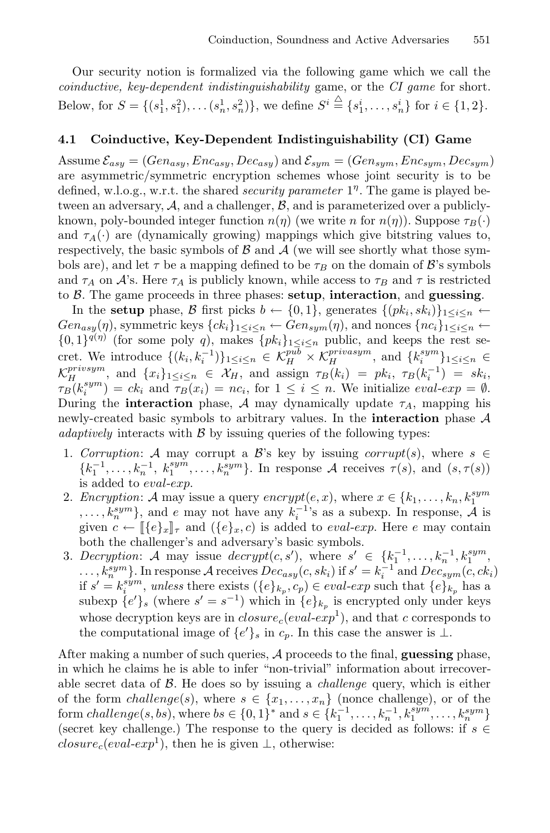Our security notion is formalized via the following game which we call the *coinductive, key-dependent indistinguishability* game, or the *CI game* for short. Below, for  $S = \{(s_1^1, s_1^2), \ldots (s_n^1, s_n^2)\}\)$ , we define  $S^i \stackrel{\triangle}{=} \{s_1^i, \ldots, s_n^i\}$  for  $i \in \{1, 2\}\$ .

### **4.1 Coinductive, Key-Dependent Indistinguishability (CI) Game**

Assume  $\mathcal{E}_{asy} = (Gen_{asy}, Enc_{asy}, Dec_{asy})$  and  $\mathcal{E}_{sym} = (Gen_{sym}, Enc_{sym}, Dec_{sym})$ are asymmetric/symmetric encryption schemes whose joint security is to be defined, w.l.o.g., w.r.t. the shared *security parameter*  $1<sup>\eta</sup>$ . The game is played between an adversary,  $A$ , and a challenger,  $B$ , and is parameterized over a publiclyknown, poly-bounded integer function  $n(\eta)$  (we write n for  $n(\eta)$ ). Suppose  $\tau_B(\cdot)$ and  $\tau_A(\cdot)$  are (dynamically growing) mappings which give bitstring values to, respectively, the basic symbols of  $\beta$  and  $\mathcal A$  (we will see shortly what those symbols are), and let  $\tau$  be a mapping defined to be  $\tau_B$  on the domain of  $\mathcal{B}'$ 's symbols and  $\tau_A$  on A's. Here  $\tau_A$  is publicly known, while access to  $\tau_B$  and  $\tau$  is restricted to B. The game proceeds in three phases: **setup**, **interaction**, and **guessing**.

In the **setup** phase, B first picks  $b \leftarrow \{0, 1\}$ , generates  $\{(pk_i, sk_i)\}_{1 \leq i \leq n}$  $Gen_{asy}(\eta)$ , symmetric keys  $\{ck_i\}_{1\leq i\leq n} \leftarrow Gen_{sym}(\eta)$ , and nonces  $\{nc_i\}_{1\leq i\leq n} \leftarrow$  ${0,1}^{\overline{q(\eta)}}$  (for some poly q), makes  ${pk_i}_{1\leq i\leq n}$  public, and keeps the rest secret. We introduce  $\{(k_i, k_i^{-1})\}_{1 \leq i \leq n} \in \mathcal{K}_H^{pub} \times \mathcal{K}_H^{privasym}$ , and  $\{k_i^{sym}\}_{1 \leq i \leq n} \in$  $\mathcal{K}_{H_{i}}^{privsym}$ , and  $\{x_i\}_{1\leq i\leq n} \in \mathcal{X}_H$ , and assign  $\tau_B(k_i) = pk_i$ ,  $\tau_B(k_i^{-1}) = sk_i$ ,  $\tau_B(k_i^{sym}) = ck_i$  and  $\tau_B(x_i) = nc_i$ , for  $1 \leq i \leq n$ . We initialize eval-exp =  $\emptyset$ . During the **interaction** phase, A may dynamically update  $\tau_A$ , mapping his newly-created basic symbols to arbitrary values. In the **interaction** phase A *adaptively* interacts with  $\beta$  by issuing queries of the following types:

- 1. *Corruption:* A may corrupt a B's key by issuing *corrupt*(s), where  $s \in$  ${k_1^{-1}, \ldots, k_n^{-1}, k_1^{sym}, \ldots, k_n^{sym}}$ . In response A receives  $\tau(s)$ , and  $(s, \tau(s))$ is added to eval-exp.
- 2. *Encryption*: A may issue a query  $\operatorname{encrypt}(e, x)$ , where  $x \in \{k_1, \ldots, k_n, k_1^{sym}, \ldots, k_n^{sym}\}$ , and e may not have any  $k_i^{-1}$ 's as a subexp. In response, A is given  $c \leftarrow [\![\{e\}_x]\!]_\tau$  and  $(\{e\}_x, c)$  is added to *eval-exp*. Here *e* may contain both the challenger's and adversary's basic symbols.
- 3. *Decryption*: A may issue  $decrypt(c, s')$ , where  $s' \in \{k_1^{-1}, \ldots, k_n^{-1}, k_1^{sym}$ ,  $\dots, k_n^{sym}$ . In response A receives  $Dec_{asy}(c, sk_i)$  if  $s' = k_i^{-1}$  and  $Dec_{sym}(c, ck_i)$ if  $s' = k_i^{sym}$ , *unless* there exists  $({e}_{k_p}, {c}_p) \in eval\text{-}exp$  such that  ${e}_{k_p}$  has a subexp  $\{e'\}_s$  (where  $s' = s^{-1}$ ) which in  $\{e\}_{k_p}$  is encrypted only under keys whose decryption keys are in  $closure_c(eval-exp^1)$ , and that c corresponds to the computational image of  $\{e'\}_s$  in  $c_p$ . In this case the answer is  $\perp$ .

After making a number of such queries, A proceeds to the final, **guessing** phase, in which he claims he is able to infer "non-trivial" information about irrecoverable secret data of B. He does so by issuing a *challenge* query, which is either of the form *challenge*(s), where  $s \in \{x_1, \ldots, x_n\}$  (nonce challenge), or of the form  $challenge(s, bs)$ , where  $bs \in \{0, 1\}^*$  and  $s \in \{k_1^{-1}, \ldots, k_n^{-1}, k_1^{sym}, \ldots, k_n^{sym}\}$ (secret key challenge.) The response to the query is decided as follows: if  $s \in \mathbb{R}$  $closure_c(eval-exp^1)$ , then he is given  $\bot$ , otherwise: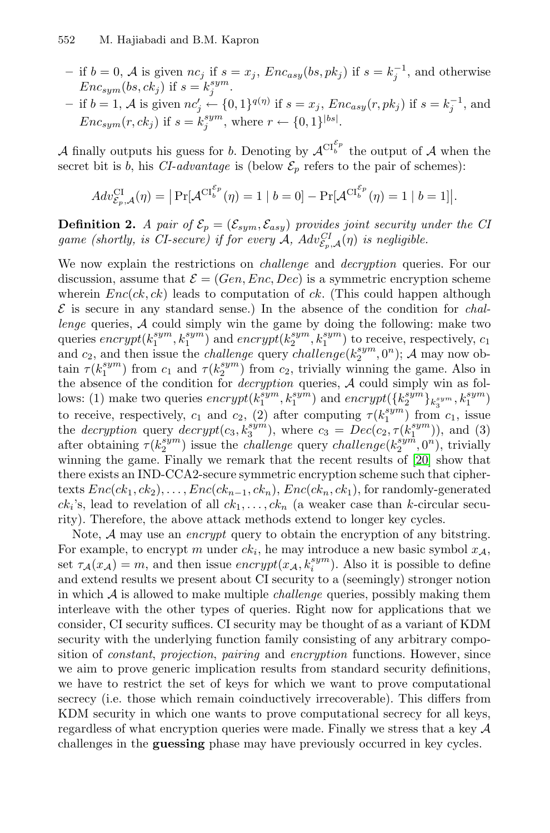- $-$  if  $b = 0$ , *A* is given  $nc_j$  if  $s = x_j$ ,  $Enc_{asy}(bs, pk_j)$  if  $s = k_j^{-1}$ , and otherwise  $Enc_{sym}(bs, ck<sub>j</sub>)$  if  $s = k<sub>j</sub><sup>sym</sup>$ .
- **−** if  $b = 1$ ,  $\mathcal{A}$  is given  $nc'_j$  ← {0, 1}<sup>q(η)</sup> if  $s = x_j$ ,  $Enc_{asy}(r, pk_j)$  if  $s = k_j^{-1}$ , and  $Enc_{sym}(r, ck_j)$  if  $s = k_j^{sym}$ , where  $r \leftarrow \{0, 1\}^{|bs|}$ .

A finally outputs his guess for b. Denoting by  ${\cal A}^{\mathrm{CI}^{\epsilon_p}_b}$  the output of A when the secret bit is b, his *CI-advantage* is (below  $\mathcal{E}_p$  refers to the pair of schemes):

$$
Adv_{\mathcal{E}_p,\mathcal{A}}^{\mathbf{CI}}(\eta) = \left| \Pr[\mathcal{A}^{\mathbf{CI}_b^{\mathcal{E}_p}}(\eta) = 1 \mid b = 0] - \Pr[\mathcal{A}^{\mathbf{CI}_b^{\mathcal{E}_p}}(\eta) = 1 \mid b = 1] \right|.
$$

**Definition 2.** *A pair of*  $\mathcal{E}_p = (\mathcal{E}_{sym}, \mathcal{E}_{asy})$  provides joint security under the CI *game (shortly, is CI-secure) if for every*  $A$ *,*  $Adv_{\mathcal{E}_p,\mathcal{A}}^{\mathcal{CI}}(\eta)$  *is negligible.* 

We now explain the restrictions on *challenge* and *decryption* queries. For our discussion, assume that  $\mathcal{E} = (Gen, Enc, Dec)$  is a symmetric encryption scheme wherein  $Enc(ck, ck)$  leads to computation of ck. (This could happen although  $\mathcal E$  is secure in any standard sense.) In the absence of the condition for *challenge* queries, A could simply win the game by doing the following: make two queries  $\mathit{encrypt}(k_1^{sym}, k_1^{sym})$  and  $\mathit{encrypt}(k_2^{sym}, k_1^{sym})$  to receive, respectively,  $c_1$ and  $c_2$ , and then issue the *chal[len](#page-18-6)ge* query *challenge*( $k_2^{sym}$ , 0<sup>n</sup>); A may now obtain  $\tau(k_1^{sym})$  from  $c_1$  and  $\tau(k_2^{sym})$  from  $c_2$ , trivially winning the game. Also in the absence of the condition for *decryption* queries, A could simply win as follows: (1) make two queries  $\text{encrypt}(k_1^{sym}, k_1^{sym})$  and  $\text{encrypt}(\{k_2^{sym}\}_{k_3^{sym}}, k_1^{sym})$ to receive, respectively,  $c_1$  and  $c_2$ , (2) after computing  $\tau(k_1^{sym})$  from  $c_1$ , issue the *decryption* query  $decrypt(c_3, k_3^{sym})$ , where  $c_3 = Dec(c_2, \tau(k_1^{sym}))$ , and (3) after obtaining  $\tau(k_2^{sym})$  issue the *challenge* query *challenge*( $k_2^{sym}$ , 0<sup>n</sup>), trivially winning the game. Finally we remark that the recent results of [20] show that there exists an IND-CCA2-secure symmetric encryption scheme such that ciphertexts  $Enc(ck_1, ck_2), \ldots, Enc(ck_{n-1}, ck_n), Enc(ck_n, ck_1)$ , for randomly-generated  $ck_i$ 's, lead to revelation of all  $ck_1, \ldots, ck_n$  (a weaker case than k-circular security). Therefore, the above attack methods extend to longer key cycles.

Note, A may use an *encrypt* query to obtain the encryption of any bitstring. For example, to encrypt m under  $ck_i$ , he may introduce a new basic symbol  $x_{\mathcal{A}}$ , set  $\tau_A(x_A) = m$ , and then issue  $\text{error}pt(x_A, k_i^{sym})$ . Also it is possible to define and extend results we present about CI security to a (seemingly) stronger notion in which A is allowed to make multiple *challenge* queries, possibly making them interleave with the other types of queries. Right now for applications that we consider, CI security suffices. CI security may be thought of as a variant of KDM security with the underlying function family consisting of any arbitrary composition of *constant*, *projection*, *pairing* and *encryption* functions. However, since we aim to prove generic implication results from standard security definitions, we have to restrict the set of keys for which we want to prove computational secrecy (i.e. those which remain coinductively irrecoverable). This differs from KDM security in which one wants to prove computational secrecy for all keys, regardless of what encryption queries were made. Finally we stress that a key A challenges in the **guessing** phase may have previously occurred in key cycles.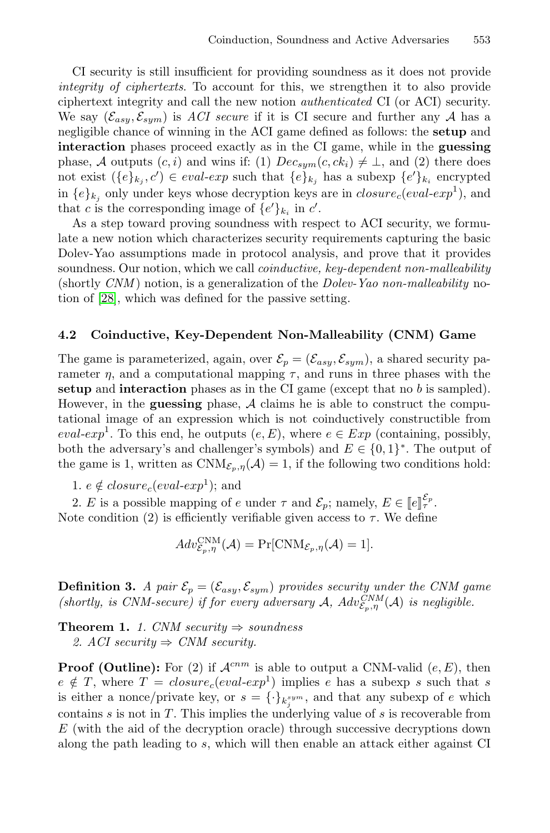CI security is still insufficient for providing soundness as it does not provide *integrity of ciphertexts*. To account for this, we strengthen it to also provide ciphertext integrity and call the new notion *authenticated* CI (or ACI) security. We say  $(\mathcal{E}_{asy}, \mathcal{E}_{sym})$  is *ACI secure* if it is CI secure and further any A has a negligible chance of winning in the ACI game defined as follows: the **setup** and **interaction** phases proceed exactly as in the CI game, while in the **guessing** phase, A outputs  $(c, i)$  and wins if: (1)  $Dec_{sum}(c, ck_i) \neq \perp$ , and (2) there does not exist  $({e}_{k_j}, c') \in eval\text{-}exp$  such that  ${e}_{k_j}$  has a subexp  ${e}'_{k_i}$  encrypted in  $\{e\}_{k_j}$  only under keys whose decryption keys are in  $closure_c(eval-exp^1)$ , and that c is the corresponding image of  $\{e'\}_{k_i}$  in c'.

As a step toward proving soundness with respect to ACI security, we formulate a new notion which characterizes security requirements capturing the basic Dolev-Yao assumptions made in protocol analysis, and prove that it provides soundness. Our notion, which we call *coinductive, key-dependent non-malleability* (shortly *CNM* ) notion, is a generalization of the *Dolev-Yao non-malleability* notion of [28], which was defined for the passive setting.

### **4.2 Coinductive, Key-Dependent Non-Malleability (CNM) Game**

The game is parameterized, again, over  $\mathcal{E}_p = (\mathcal{E}_{asy}, \mathcal{E}_{sym})$ , a shared security parameter  $\eta$ , and a computational mapping  $\tau$ , and runs in three phases with the **setup** and **interaction** phases as in the CI game (except that no b is sampled). However, in the **guessing** phase, A claims he is able to construct the computational image of an expression which is not coinductively constructible from eval-exp<sup>1</sup>. To this end, he outputs  $(e, E)$ , where  $e \in Exp$  (containing, possibly, both the adversary's and challenger's symbols) and  $E \in \{0,1\}^*$ . The output of the game is 1, written as  $\text{CNN}_{\mathcal{E}_p,\eta}(\mathcal{A})=1$ , if the following two conditions hold:

1.  $e \notin closure_c(eval-exp^1);$  and

2. *E* is a possible mapping of *e* under  $\tau$  and  $\mathcal{E}_p$ ; namely,  $E \in [e]_T^{\mathcal{E}_p}$ . Note condition (2) is efficiently verifiable given access to  $\tau$ . We define

$$
Adv_{\mathcal{E}_p,\eta}^{\text{CNM}}(\mathcal{A}) = \Pr[\text{CNM}_{\mathcal{E}_p,\eta}(\mathcal{A}) = 1].
$$

**Definition 3.** *A pair*  $\mathcal{E}_p = (\mathcal{E}_{asy}, \mathcal{E}_{sym})$  provides security under the CNM game *(shortly, is CNM-secure) if for every adversary* A,  $Adv_{\mathcal{E}_p,\eta}^{CNM}(\mathcal{A})$  *is negligible.* 

**Theorem 1.** *1. CNM security*  $\Rightarrow$  *soundness 2. ACI security* ⇒ *CNM security.*

**Proof (Outline):** For (2) if  $\mathcal{A}^{cnm}$  is able to output a CNM-valid  $(e, E)$ , then  $e \notin T$ , where  $T = closure_c(eval-exp^1)$  implies e has a subexp s such that s is either a nonce/private key, or  $s = \{\cdot\}_{k_j^{sym}}$ , and that any subexp of e which contains s is not in  $T$ . This implies the underlying value of s is recoverable from  $E$  (with the aid of the decryption oracle) through successive decryptions down along the path leading to s, which will then enable an attack either against CI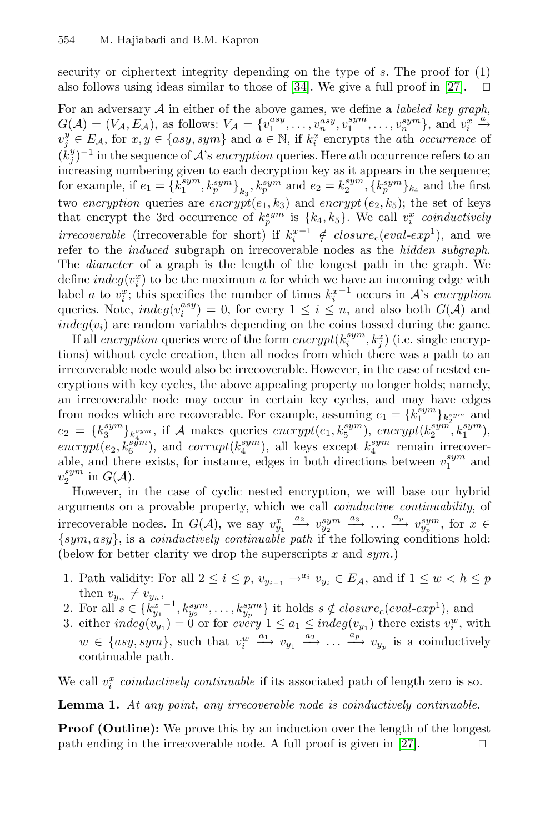security or ciphertext integrity depending on the type of s. The proof for (1) also follows using ideas similar to those of [34]. We give a full proof in [27].  $\Box$ 

For an adversary A in either of the above games, we define a *labeled key graph*,  $G(\mathcal{A}) = (V_{\mathcal{A}}, E_{\mathcal{A}})$ , as follows:  $V_{\mathcal{A}} = \{v_1^{asy}, \ldots, v_n^{asy}, v_1^{sym}, \ldots, v_n^{sym}\}$ , and  $v_i^x$  $\stackrel{a}{\longrightarrow}$  $v_j^y \in E_A$ , for  $x, y \in \{asy, sym\}$  and  $a \in \mathbb{N}$ , if  $k_i^x$  encrypts the *ath occurrence* of  $(k_j^y)^{-1}$  in the sequence of A's *encryption* queries. Here ath occurrence refers to an increasing numbering given to each decryption key as it appears in the sequence; for example, if  $e_1 = \{k_1^{sym}, k_p^{sym}\}_{k_3}$ ,  $k_p^{sym}$  and  $e_2 = k_2^{sym}$ ,  $\{k_p^{sym}\}_{k_4}$  and the first two *encryption* queries are  $\text{encrypt}(e_1, k_3)$  and  $\text{encrypt}(e_2, k_5)$ ; the set of keys that encrypt the 3rd occurrence of  $k_p^{sym}$  is  $\{k_4, k_5\}$ . We call  $v_i^x$  *coinductively irrecoverable* (irrecoverable for short) if  $k_i^{x-1} \notin closure_c(eval-exp^1)$ , and we refer to the *induced* subgraph on irrecoverable nodes as the *hidden subgraph*. The *diameter* of a graph is the length of the longest path in the graph. We define  $indeg(v_i^x)$  to be the maximum a for which we have an incoming edge with label *a* to  $v_i^x$ ; this specifies the number of times  $k_i^{x-1}$  occurs in A's *encryption* queries. Note,  $indeg(v_i^{asy}) = 0$ , for every  $1 \leq i \leq n$ , and also both  $G(\mathcal{A})$  and  $indeg(v_i)$  are random variables depending on the coins tossed during the game.

If all *encryption* queries were of the form  $\text{encrypt}(k_i^{sym}, k_j^x)$  (i.e. single encryptions) without cycle creation, then all nodes from which there was a path to an irrecoverable node would also be irrecoverable. However, in the case of nested encryptions with key cycles, the above appealing property no longer holds; namely, an irrecoverable node may occur in certain key cycles, and may have edges from nodes which are recoverable. For example, assuming  $e_1 = \{k_1^{sym}\}_{k_2^{sym}}$  and  $e_2 = \{k_3^{sym}\}_{k_4^{sym}}$ , if A makes queries  $\text{encrypt}(e_1, k_5^{sym})$ ,  $\text{encrypt}(k_2^{sym}, k_1^{sym})$ ,  $\text{encrypt}(e_2, k_6^{sym})$ , and  $\text{corrupt}(k_4^{sym})$ , all keys except  $k_4^{sym}$  remain irrecoverable, and there exists, for instance, edges in both directions between  $v_1^{sym}$  and  $v_2^{sym}$  in  $G(\mathcal{A})$ .

However, in the case of cyclic nested encryption, we will base our hybrid arguments on a provable property, which we call *coinductive continuability*, of irrecoverable nodes. In  $G(\mathcal{A})$ , we say  $v_{y_1}^x \xrightarrow{a_2} v_{y_2}^{sym} \xrightarrow{a_3} \ldots \xrightarrow{a_p} v_{y_p}^{sym}$ , for  $x \in$ {sym, asy}, is a *coinductively continuable path* if the following conditions hold: (below for better clarity we drop the superscripts  $x$  and  $sym$ .)

- 1. Path validity: For all  $2 \leq i \leq p$ ,  $v_{y_{i-1}} \to^{a_i} v_{y_i} \in E_{\mathcal{A}}$ , and if  $1 \leq w < h \leq p$ then  $v_{y_w} \neq v_{y_h}$ ,
- 2. For all  $s \in \{k_{y_1}^{x-1}, k_{y_2}^{sym}, \ldots, k_{y_p}^{sym}\}$  it holds  $s \notin closure_c(eval-exp^1)$ , and
- 3. either  $indeg(v_{y_1}) = 0$  or for *every*  $1 \le a_1 \le indeg(v_{y_1})$  there exists  $v_i^w$ , with  $w \in \{asy, sym\}$ , such that  $v_i^w \stackrel{a_1}{\longrightarrow} v_{y_1} \stackrel{a_2}{\longrightarrow} \ldots \stackrel{a_p}{\longrightarrow} v_{y_p}$  is a coinductively continuable path.

We call  $v_i^x$  *coinductively continuable* if its associated path of length zero is so.

**Lemma 1.** *At any point, any irrecoverable node is coinductively continuable.*

**Proof (Outline):** We prove this by an induction over the length of the longest path ending in the irrecoverable node. A full proof is given in [27].  $\Box$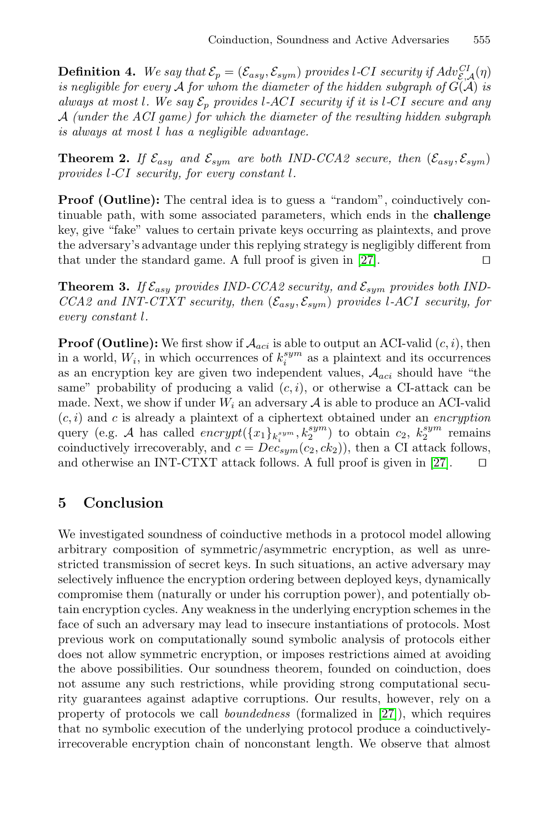**Definition 4.** We say that  $\mathcal{E}_p = (\mathcal{E}_{asy}, \mathcal{E}_{sym})$  provides l-CI security if  $Adv_{\mathcal{E},\mathcal{A}}^{CI}(\eta)$ *is negligible for every*  $\mathcal A$  *for whom the diameter of the hidden subgraph of*  $G(\mathcal A)$  *is always at most l.* We say  $\mathcal{E}_p$  provides *l*-ACI security if it is *l*-CI secure and any A *(under the ACI game) for which the diameter of the resulting hidden subgraph is always at most* l *has a negligible advantage.*

**Theorem 2.** *If*  $\mathcal{E}_{asy}$  *and*  $\mathcal{E}_{sym}$  *are both IND-CCA2 secure, then*  $(\mathcal{E}_{asy}, \mathcal{E}_{sym})$ *provides* l*-*CI *security, for every constant* l*.*

**Proof (Outline):** The central idea is to guess a "random", coinductively continuable path, with some associated parameters, which ends in the **challenge** key, give "fake" values to certain private keys occurring as plaintexts, and prove the adversary's advantage under this replying strategy is negligibly different from that under the standard game. A full proof is given in [27].  $\square$ 

**Theorem 3.** If  $\mathcal{E}_{asy}$  provides IND-CCA2 security, and  $\mathcal{E}_{sym}$  provides both IND- $CCA2$  and INT-CTXT security, then  $(\mathcal{E}_{asy}, \mathcal{E}_{sum})$  provides l-ACI security, for *every constant* l*.*

**Proof (Outline):** We first show if  $\mathcal{A}_{aci}$  is able to o[utpu](#page-19-6)t an ACI-valid  $(c, i)$ , then in a world,  $W_i$ , in which occurrences of  $k_i^{sym}$  as a plaintext and its occurrences as an encryption key are given two independent values,  $A_{aci}$  should have "the same" probability of producing a valid  $(c, i)$ , or otherwise a CI-attack can be made. Next, we show if under  $W_i$  an adversary  $A$  is able to produce an ACI-valid (c, i) and c is already a plaintext of a ciphertext obtained under an *encryption* query (e.g. A has called  $\text{encrypt}(\{x_1\}_{k_i^{sym}}, k_2^{sym})$  to obtain  $c_2$ ,  $k_2^{sym}$  remains coinductively irrecoverably, and  $c = Dec_{sym}(c_2, ck_2)$ , then a CI attack follows, and otherwise an INT-CTXT attack follows. A full proof is given in [27].

### **5 Conclusion**

We investigated soundness of coinductive methods in a protocol model allowing arbitrary composition of symmetric/asymmetric encryption, as well as unrestricted transmission of secret keys. In such situations, an active adversary may selectively influence the encryption ordering between deployed keys, dynamically compromise them (naturally or under his [cor](#page-19-6)ruption power), and potentially obtain encryption cycles. Any weakness in the underlying encryption schemes in the face of such an adversary may lead to insecure instantiations of protocols. Most previous work on computationally sound symbolic analysis of protocols either does not allow symmetric encryption, or imposes restrictions aimed at avoiding the above possibilities. Our soundness theorem, founded on coinduction, does not assume any such restrictions, while providing strong computational security guarantees against adaptive corruptions. Our results, however, rely on a property of protocols we call *boundedness* (formalized in [27]), which requires that no symbolic execution of the underlying protocol produce a coinductivelyirrecoverable encryption chain of nonconstant length. We observe that almost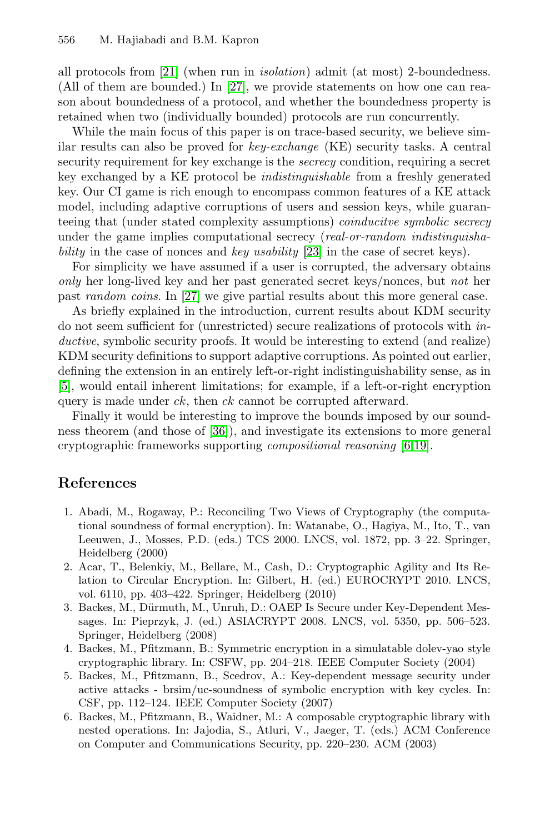all protocols from [21] (when run in *isolation*) admit (at most) 2-boundedness. (All of them are bounded.) In [27], we provide statements on how one can reason about boundedness of a protocol, and whether the boundedness property is retained when two (individually bounded) protocols are run concurrently.

While the main focus of [this](#page-18-7) paper is on trace-based security, we believe similar results can also be proved for *key-exchange* (KE) security tasks. A central security requirement for key exchange is the *secrecy* condition, requiring a secret key [exch](#page-19-6)anged by a KE protocol be *indistinguishable* from a freshly generated key. Our CI game is rich enough to encompass common features of a KE attack model, including adaptive corruptions of users and session keys, while guaranteeing that (under stated complexity assumptions) *coinducitve symbolic secrecy* under the game implies computational secrecy (*real-or-random indistinguishability* in the case of nonces and *key usability* [23] in the case of secret keys).

For simplicity we have assumed if a user is corrupted, the adversary obtains *only* her long-lived key and her past generated secret keys/nonces, but *not* her past *random coins*. In [27] we give partial results about this more general case.

<span id="page-17-0"></span>As brie[fly e](#page-19-5)xplained in the introduction, current results about KDM security do not seem sufficient for (unrestricted) secur[e](#page-17-1) [rea](#page-18-8)lizations of protocols with *inductive*, symbolic security proofs. It would be interesting to extend (and realize) KDM security definitions to support adaptive corruptions. As pointed out earlier, defining the extension in an entirely left-or-right indistinguishability sense, as in [5], would entail inherent limitations; for example, if a left-or-right encryption query is made under ck, then ck cannot be corrupted afterward.

<span id="page-17-3"></span><span id="page-17-2"></span>Finally it would be interesting to improve the bounds imposed by our soundness theorem (and those of [36]), and investigate its extensions to more general cryptographic frameworks supporting *compositional reasoning* [6,19].

### <span id="page-17-1"></span>**References**

- 1. Abadi, M., Rogaway, P.: Reconciling Two Views of Cryptography (the computational soundness of formal encryption). In: Watanabe, O., Hagiya, M., Ito, T., van Leeuwen, J., Mosses, P.D. (eds.) TCS 2000. LNCS, vol. 1872, pp. 3–22. Springer, Heidelberg (2000)
- 2. Acar, T., Belenkiy, M., Bellare, M., Cash, D.: Cryptographic Agility and Its Relation to Circular Encryption. In: Gilbert, H. (ed.) EUROCRYPT 2010. LNCS, vol. 6110, pp. 403–422. Springer, Heidelberg (2010)
- 3. Backes, M., Dürmuth, M., Unruh, D.: OAEP Is Secure under Key-Dependent Messages. In: Pieprzyk, J. (ed.) ASIACRYPT 2008. LNCS, vol. 5350, pp. 506–523. Springer, Heidelberg (2008)
- 4. Backes, M., Pfitzmann, B.: Symmetric encryption in a simulatable dolev-yao style cryptographic library. In: CSFW, pp. 204–218. IEEE Computer Society (2004)
- 5. Backes, M., Pfitzmann, B., Scedrov, A.: Key-dependent message security under active attacks - brsim/uc-soundness of symbolic encryption with key cycles. In: CSF, pp. 112–124. IEEE Computer Society (2007)
- 6. Backes, M., Pfitzmann, B., Waidner, M.: A composable cryptographic library with nested operations. In: Jajodia, S., Atluri, V., Jaeger, T. (eds.) ACM Conference on Computer and Communications Security, pp. 220–230. ACM (2003)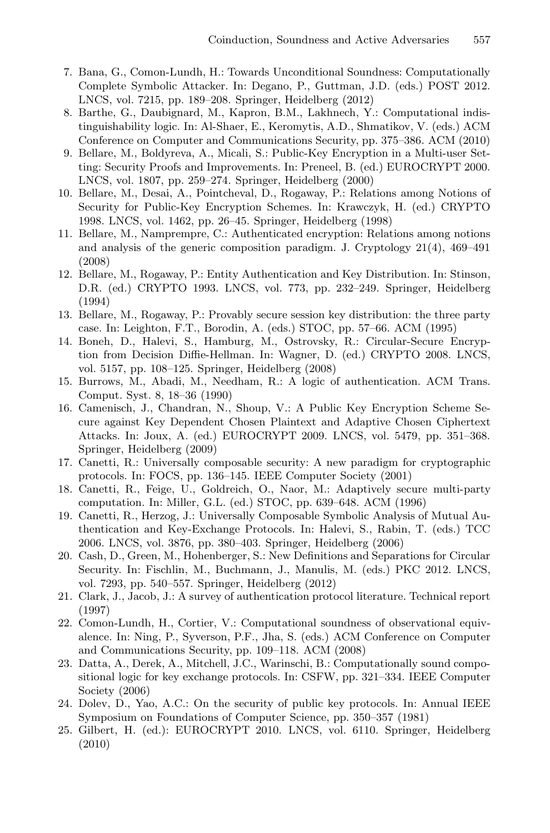- <span id="page-18-2"></span>7. Bana, G., Comon-Lundh, H.: Towards Unconditional Soundness: Computationally Complete Symbolic Attacker. In: Degano, P., Guttman, J.D. (eds.) POST 2012. LNCS, vol. 7215, pp. 189–208. Springer, Heidelberg (2012)
- 8. Barthe, G., Daubignard, M., Kapron, B.M., Lakhnech, Y.: Computational indistinguishability logic. In: Al-Shaer, E., Keromytis, A.D., Shmatikov, V. (eds.) ACM Conference on Computer and Communications Security, pp. 375–386. ACM (2010)
- 9. Bellare, M., Boldyreva, A., Micali, S.: Public-Key Encryption in a Multi-user Setting: Security Proofs and Improvements. In: Preneel, B. (ed.) EUROCRYPT 2000. LNCS, vol. 1807, pp. 259–274. Springer, Heidelberg (2000)
- 10. Bellare, M., Desai, A., Pointcheval, D., Rogaway, P.: Relations among Notions of Security for Public-Key Encryption Schemes. In: Krawczyk, H. (ed.) CRYPTO 1998. LNCS, vol. 1462, pp. 26–45. Springer, Heidelberg (1998)
- 11. Bellare, M., Namprempre, C.: Authenticated encryption: Relations among notions and analysis of the generic composition paradigm. J. Cryptology 21(4), 469–491 (2008)
- <span id="page-18-1"></span>12. Bellare, M., Rogaway, P.: Entity Authentication and Key Distribution. In: Stinson, D.R. (ed.) CRYPTO 1993. LNCS, vol. 773, pp. 232–249. Springer, Heidelberg (1994)
- 13. Bellare, M., Rogaway, P.: Provably secure session key distribution: the three party case. In: Leighton, F.T., Borodin, A. (eds.) STOC, pp. 57–66. ACM (1995)
- <span id="page-18-4"></span>14. Boneh, D., Halevi, S., Hamburg, M., Ostrovsky, R.: Circular-Secure Encryption from Decision Diffie-Hellman. In: Wagner, D. (ed.) CRYPTO 2008. LNCS, vol. 5157, pp. 108–125. Springer, Heidelberg (2008)
- 15. Burrows, M., Abadi, M., Needham, R.: A logic of authentication. ACM Trans. Comput. Syst. 8, 18–36 (1990)
- <span id="page-18-8"></span>16. Camenisch, J., Chandran, N., Shoup, V.: A Public Key Encryption Scheme Secure against Key Dependent Chosen Plaintext and Adaptive Chosen Ciphertext Attacks. In: Joux, A. (ed.) EUROCRYPT 2009. LNCS, vol. 5479, pp. 351–368. Springer, Heidelberg (2009)
- <span id="page-18-6"></span>17. Canetti, R.: Universally composable security: A new paradigm for cryptographic protocols. In: FOCS, pp. 136–145. IEEE Computer Society (2001)
- <span id="page-18-3"></span>18. Canetti, R., Feige, U., Goldreich, O., Naor, M.: Adaptively secure multi-party computation. In: Miller, G.L. (ed.) STOC, pp. 639–648. ACM (1996)
- <span id="page-18-5"></span>19. Canetti, R., Herzog, J.: Universally Composable Symbolic Analysis of Mutual Authentication and Key-Exchange Protocols. In: Halevi, S., Rabin, T. (eds.) TCC 2006. LNCS, vol. 3876, pp. 380–403. Springer, Heidelberg (2006)
- <span id="page-18-7"></span>20. Cash, D., Green, M., Hohenberger, S.: New Definitions and Separations for Circular Security. In: Fischlin, M., Buchmann, J., Manulis, M. (eds.) PKC 2012. LNCS, vol. 7293, pp. 540–557. Springer, Heidelberg (2012)
- <span id="page-18-0"></span>21. Clark, J., Jacob, J.: A survey of authentication protocol literature. Technical report (1997)
- 22. Comon-Lundh, H., Cortier, V.: Computational soundness of observational equivalence. In: Ning, P., Syverson, P.F., Jha, S. (eds.) ACM Conference on Computer and Communications Security, pp. 109–118. ACM (2008)
- 23. Datta, A., Derek, A., Mitchell, J.C., Warinschi, B.: Computationally sound compositional logic for key exchange protocols. In: CSFW, pp. 321–334. IEEE Computer Society (2006)
- 24. Dolev, D., Yao, A.C.: On the security of public key protocols. In: Annual IEEE Symposium on Foundations of Computer Science, pp. 350–357 (1981)
- 25. Gilbert, H. (ed.): EUROCRYPT 2010. LNCS, vol. 6110. Springer, Heidelberg (2010)